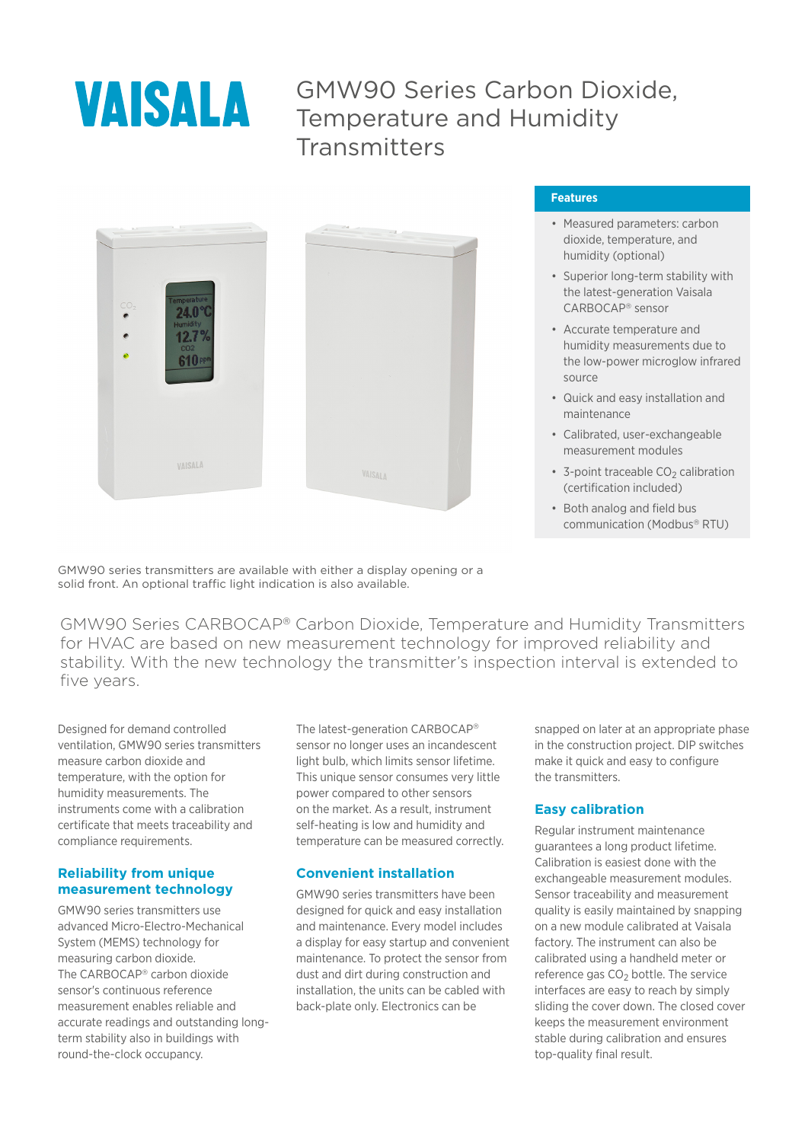

## GMW90 Series Carbon Dioxide, Temperature and Humidity **Transmitters**



#### **Features**

- Measured parameters: carbon dioxide, temperature, and humidity (optional)
- Superior long-term stability with the latest-generation Vaisala CARBOCAP<sup>â</sup> sensor
- Accurate temperature and humidity measurements due to the low-power microglow infrared source
- Quick and easy installation and maintenance
- Calibrated, user-exchangeable measurement modules
- $\cdot$  3-point traceable CO<sub>2</sub> calibration (certification included)
- Both analog and field bus communication (Modbus<sup>®</sup> RTU)

GMW90 series transmitters are available with either a display opening or a solid front. An optional traffic light indication is also available.

GMW90 Series CARBOCAP<sup>â</sup> Carbon Dioxide, Temperature and Humidity Transmitters for HVAC are based on new measurement technology for improved reliability and stability. With the new technology the transmitter's inspection interval is extended to five years.

Designed for demand controlled ventilation, GMW90 series transmitters measure carbon dioxide and temperature, with the option for humidity measurements. The instruments come with a calibration certificate that meets traceability and compliance requirements.

#### **Reliability from unique measurement technology**

GMW90 series transmitters use advanced Micro-Electro-Mechanical System (MEMS) technology for measuring carbon dioxide. The CARBOCAP<sup>®</sup> carbon dioxide sensor's continuous reference measurement enables reliable and accurate readings and outstanding longterm stability also in buildings with round-the-clock occupancy.

The latest-generation CARBOCAP<sup>®</sup> sensor no longer uses an incandescent light bulb, which limits sensor lifetime. This unique sensor consumes very little power compared to other sensors on the market. As a result, instrument self-heating is low and humidity and temperature can be measured correctly.

### **Convenient installation**

GMW90 series transmitters have been designed for quick and easy installation and maintenance. Every model includes a display for easy startup and convenient maintenance. To protect the sensor from dust and dirt during construction and installation, the units can be cabled with back-plate only. Electronics can be

snapped on later at an appropriate phase in the construction project. DIP switches make it quick and easy to configure the transmitters.

### **Easy calibration**

Regular instrument maintenance guarantees a long product lifetime. Calibration is easiest done with the exchangeable measurement modules. Sensor traceability and measurement quality is easily maintained by snapping on a new module calibrated at Vaisala factory. The instrument can also be calibrated using a handheld meter or reference gas CO<sub>2</sub> bottle. The service interfaces are easy to reach by simply sliding the cover down. The closed cover keeps the measurement environment stable during calibration and ensures top-quality final result.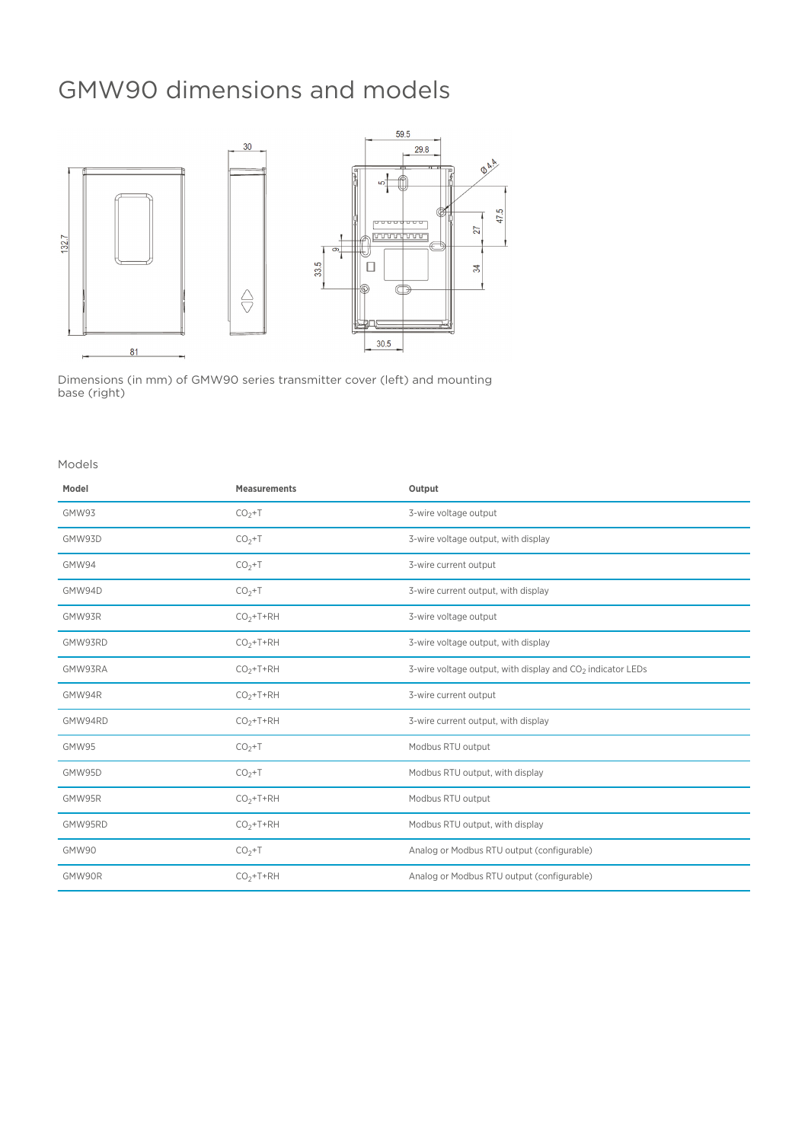## GMW90 dimensions and models



Dimensions (in mm) of GMW90 series transmitter cover (left) and mounting base (right)

#### Models

| Model   | <b>Measurements</b> | Output                                                                 |
|---------|---------------------|------------------------------------------------------------------------|
| GMW93   | $CO2+T$             | 3-wire voltage output                                                  |
| GMW93D  | $CO2+T$             | 3-wire voltage output, with display                                    |
| GMW94   | $CO2+T$             | 3-wire current output                                                  |
| GMW94D  | $CO2+T$             | 3-wire current output, with display                                    |
| GMW93R  | $CO2+T+RH$          | 3-wire voltage output                                                  |
| GMW93RD | $CO2+T+RH$          | 3-wire voltage output, with display                                    |
| GMW93RA | $CO2+T+RH$          | 3-wire voltage output, with display and CO <sub>2</sub> indicator LEDs |
| GMW94R  | $CO2+T+RH$          | 3-wire current output                                                  |
| GMW94RD | $CO2+T+RH$          | 3-wire current output, with display                                    |
| GMW95   | $CO2+T$             | Modbus RTU output                                                      |
| GMW95D  | $CO2+T$             | Modbus RTU output, with display                                        |
| GMW95R  | $CO2+T+RH$          | Modbus RTU output                                                      |
| GMW95RD | $CO2+T+RH$          | Modbus RTU output, with display                                        |
| GMW90   | $CO2+T$             | Analog or Modbus RTU output (configurable)                             |
| GMW90R  | $CO2+T+RH$          | Analog or Modbus RTU output (configurable)                             |